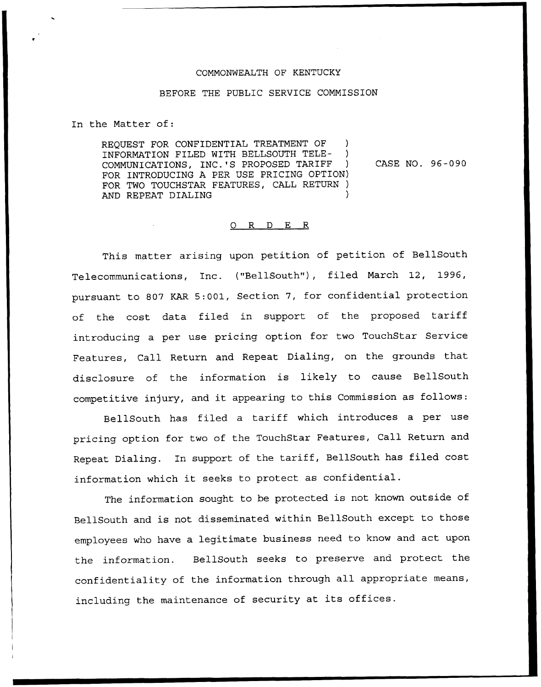## COMMONWEALTH OF KENTUCKY

## BEFORE THE PUBLIC SERVICE COMMISSION

In the Matter of:

REQUEST FOR CONFIDENTIAL TREATMENT OF ) INFORMATION FILED WITH BELLSOUTH TELE- ) COMMUNICATIONS, INC.'S PROPOSED TARIFF ) FOR INTRODUCING A PER USE PRICING OPTION) FOR TWO TOUCHSTAR FEATURES, CALL RETURN ) AND REPEAT DIALING CASE NO. 96-090

## 0 R <sup>D</sup> E R

This matter arising upon petition of petition of BellSouth Telecommunications, Inc. ("BellSouth"), filed March 12, 1996, pursuant to 807 KAR 5:001, Section 7, for confidential protection of the cost data filed in support of the proposed tariff introducing a per use pricing option for two TouchStar Service Features, Call Return and Repeat Dialing, on the grounds that disclosure of the information is likely to cause BellSouth competitive injury, and it appearing to this Commission as follows:

BellSouth has filed a tariff which introduces a per use pricing option for two of the TouchStar Features, Call Return and Repeat Dialing. In support of the tariff, BellSouth has filed cost information which it seeks to protect as confidential.

The information sought to be protected is not known outside of BellSouth and is not disseminated within BellSouth except to those employees who have a legitimate business need to know and act upon the information. BellSouth seeks to preserve and protect the confidentiality of the information through all appropriate means, including the maintenance of security at its offices.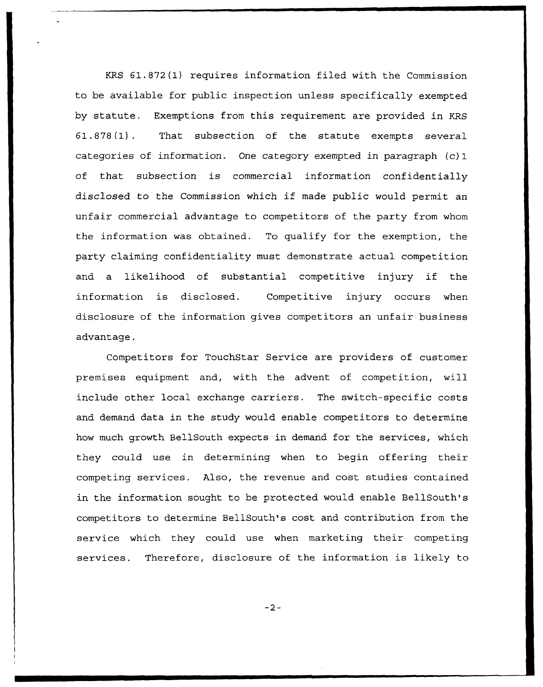KRS 61.872 (1) requires information filed with the Commission to be available for public inspection unless specifically exempted by statute. Exemptions from this requirement are provided in KRS 61.878(1). That subsection of the statute exempts several categories of information. One category exempted in paragraph (c) 1 of that subsection is commercial information confidentially disclosed to the Commission which if made public would permit an unfair commercial advantage to competitors of the party from whom the information was obtained. To qualify for the exemption, the party claiming confidentiality must demonstrate actual competition and <sup>a</sup> likelihood of substantial competitive injury if the information is disclosed. Competitive injury occurs when disclosure of the information gives competitors an unfair business advantage.

Competitors for TouchStar Service are providers of customer premises equipment and, with the advent of competition, will include other local exchange carriers. The switch-specific costs and demand data in the study would enable competitors to determine how much growth BellSouth expects in demand for the services, which they could use in determining when to begin offering their competing services. Also, the revenue and cost studies contained in the information sought to be protected would enable BellSouth's competitors to determine BellSouth's cost and contribution from the service which they could use when marketing their competing services. Therefore, disclosure of the information is likely to

 $-2-$